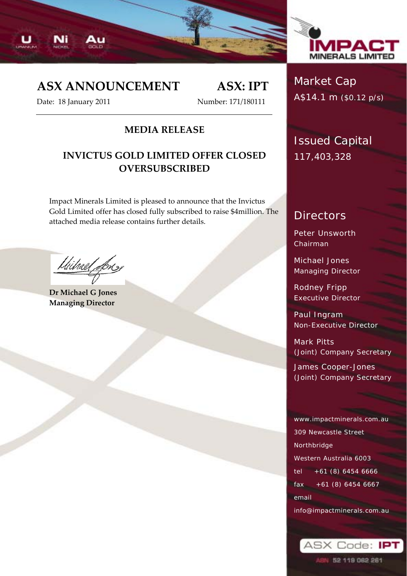



# **ASX ANNOUNCEMENT ASX: IPT**

Date: 18 January 2011 Number: 171/180111

#### **MEDIA RELEASE**

### **INVICTUS GOLD LIMITED OFFER CLOSED OVERSUBSCRIBED**

Impact Minerals Limited is pleased to announce that the Invictus Gold Limited offer has closed fully subscribed to raise \$4million. The attached media release contains further details.

Uitrael Lon

**Dr Michael G Jones Managing Director**

# Market Cap A\$14.1 m (\$0.12 p/s)

Issued Capital 117,403,328

## **Directors**

Peter Unsworth Chairman

Michael Jones Managing Director

Rodney Fripp Executive Director

Paul Ingram Non-Executive Director

Mark Pitts (Joint) Company Secretary

James Cooper-Jones (Joint) Company Secretary

www.impactminerals.com.au 309 Newcastle Street Northbridge Western Australia 6003 tel +61 (8) 6454 6666 fax +61 (8) 6454 6667 email info@impactminerals.com.au